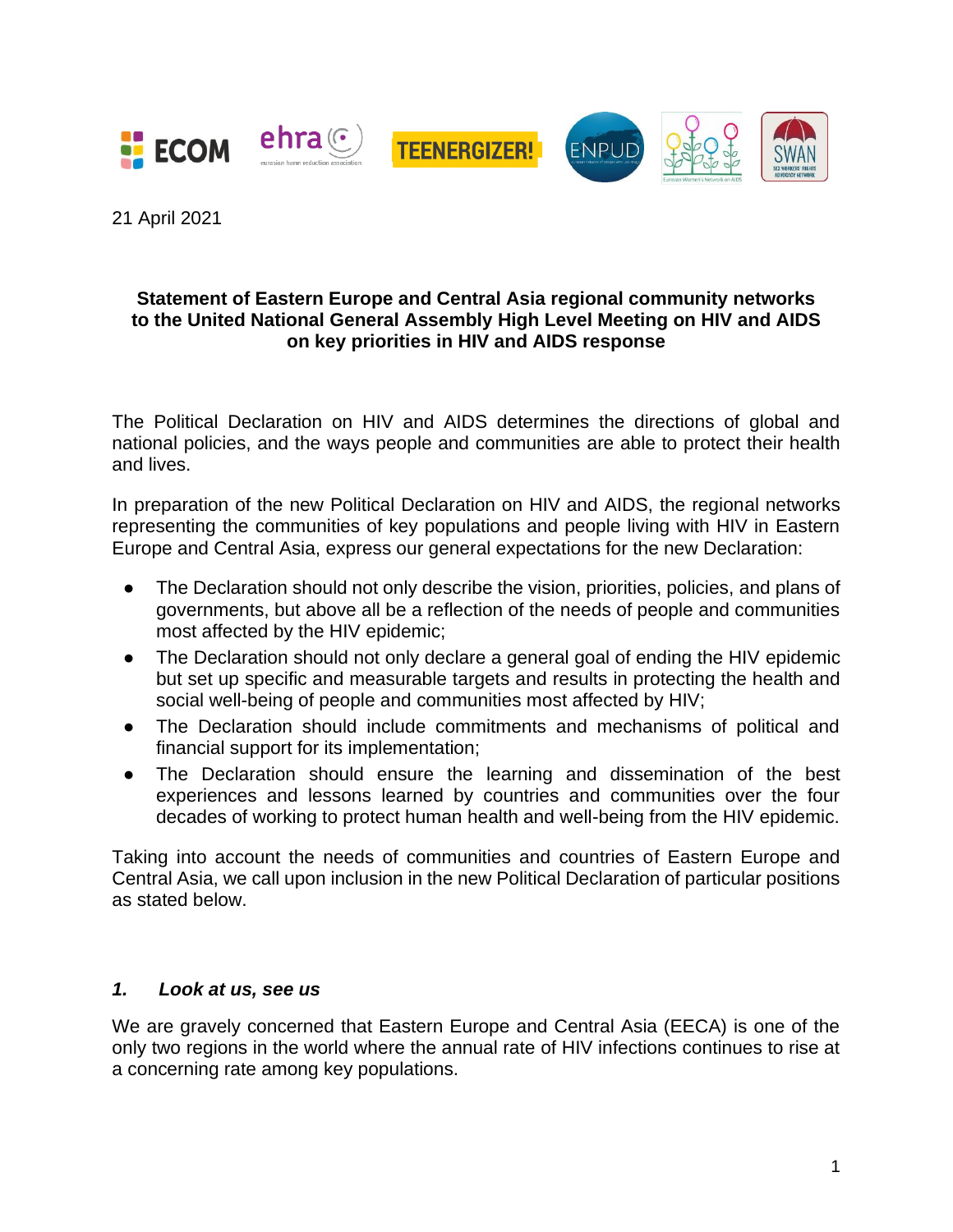

21 April 2021

#### **Statement of Eastern Europe and Central Asia regional community networks to the United National General Assembly High Level Meeting on HIV and AIDS on key priorities in HIV and AIDS response**

The Political Declaration on HIV and AIDS determines the directions of global and national policies, and the ways people and communities are able to protect their health and lives.

In preparation of the new Political Declaration on HIV and AIDS, the regional networks representing the communities of key populations and people living with HIV in Eastern Europe and Central Asia, express our general expectations for the new Declaration:

- The Declaration should not only describe the vision, priorities, policies, and plans of governments, but above all be a reflection of the needs of people and communities most affected by the HIV epidemic;
- The Declaration should not only declare a general goal of ending the HIV epidemic but set up specific and measurable targets and results in protecting the health and social well-being of people and communities most affected by HIV;
- The Declaration should include commitments and mechanisms of political and financial support for its implementation;
- The Declaration should ensure the learning and dissemination of the best experiences and lessons learned by countries and communities over the four decades of working to protect human health and well-being from the HIV epidemic.

Taking into account the needs of communities and countries of Eastern Europe and Central Asia, we call upon inclusion in the new Political Declaration of particular positions as stated below.

#### *1. Look at us, see us*

We are gravely concerned that Eastern Europe and Central Asia (EECA) is one of the only two regions in the world where the annual rate of HIV infections continues to rise at a concerning rate among key populations.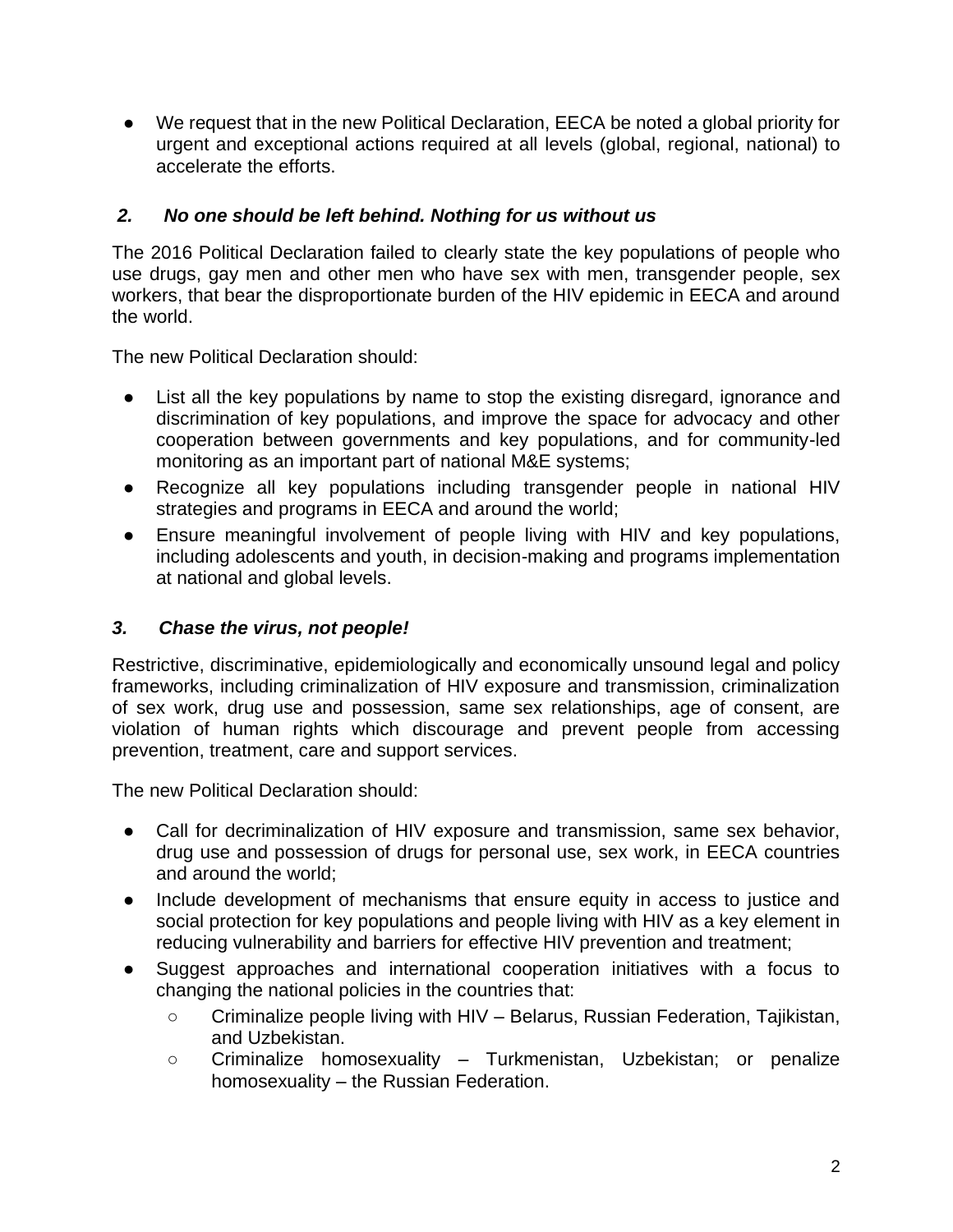● We request that in the new Political Declaration, EECA be noted a global priority for urgent and exceptional actions required at all levels (global, regional, national) to accelerate the efforts.

# *2. No one should be left behind. Nothing for us without us*

The 2016 Political Declaration failed to clearly state the key populations of people who use drugs, gay men and other men who have sex with men, transgender people, sex workers, that bear the disproportionate burden of the HIV epidemic in EECA and around the world.

The new Political Declaration should:

- List all the key populations by name to stop the existing disregard, ignorance and discrimination of key populations, and improve the space for advocacy and other cooperation between governments and key populations, and for community-led monitoring as an important part of national M&E systems;
- Recognize all key populations including transgender people in national HIV strategies and programs in EECA and around the world;
- Ensure meaningful involvement of people living with HIV and key populations, including adolescents and youth, in decision-making and programs implementation at national and global levels.

## *3. Chase the virus, not people!*

Restrictive, discriminative, epidemiologically and economically unsound legal and policy frameworks, including criminalization of HIV exposure and transmission, criminalization of sex work, drug use and possession, same sex relationships, age of consent, are violation of human rights which discourage and prevent people from accessing prevention, treatment, care and support services.

The new Political Declaration should:

- Call for decriminalization of HIV exposure and transmission, same sex behavior, drug use and possession of drugs for personal use, sex work, in EECA countries and around the world;
- Include development of mechanisms that ensure equity in access to justice and social protection for key populations and people living with HIV as a key element in reducing vulnerability and barriers for effective HIV prevention and treatment;
- Suggest approaches and international cooperation initiatives with a focus to changing the national policies in the countries that:
	- Criminalize people living with HIV Belarus, Russian Federation, Tajikistan, and Uzbekistan.
	- Criminalize homosexuality Turkmenistan, Uzbekistan; or penalize homosexuality – the Russian Federation.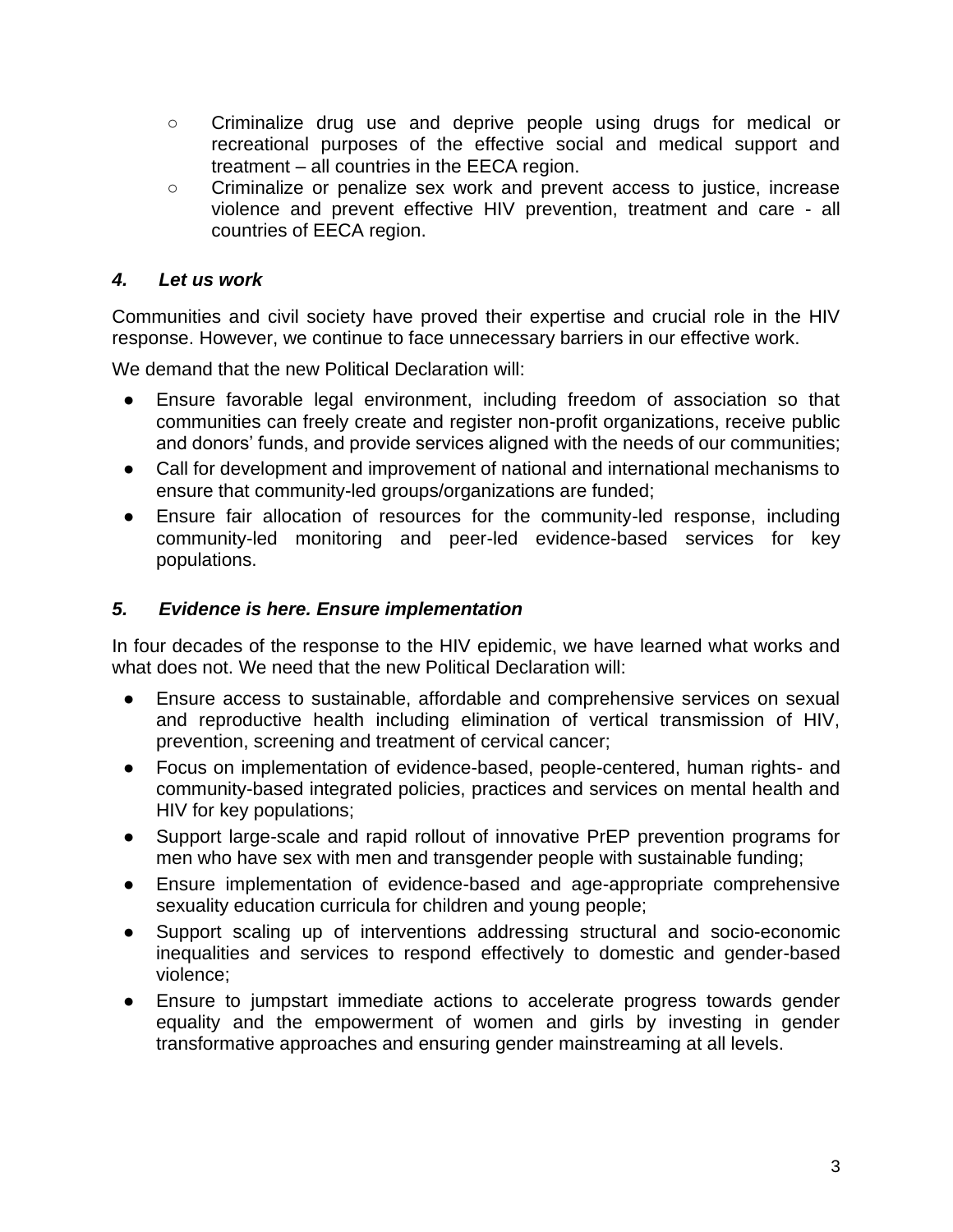- Criminalize drug use and deprive people using drugs for medical or recreational purposes of the effective social and medical support and treatment – all countries in the EECA region.
- Criminalize or penalize sex work and prevent access to justice, increase violence and prevent effective HIV prevention, treatment and care - all countries of EECA region.

# *4. Let us work*

Communities and civil society have proved their expertise and crucial role in the HIV response. However, we continue to face unnecessary barriers in our effective work.

We demand that the new Political Declaration will:

- Ensure favorable legal environment, including freedom of association so that communities can freely create and register non-profit organizations, receive public and donors' funds, and provide services aligned with the needs of our communities;
- Call for development and improvement of national and international mechanisms to ensure that community-led groups/organizations are funded;
- Ensure fair allocation of resources for the community-led response, including community-led monitoring and peer-led evidence-based services for key populations.

### *5. Evidence is here. Ensure implementation*

In four decades of the response to the HIV epidemic, we have learned what works and what does not. We need that the new Political Declaration will:

- Ensure access to sustainable, affordable and comprehensive services on sexual and reproductive health including elimination of vertical transmission of HIV, prevention, screening and treatment of cervical cancer;
- Focus on implementation of evidence-based, people-centered, human rights- and community-based integrated policies, practices and services on mental health and HIV for key populations;
- Support large-scale and rapid rollout of innovative PrEP prevention programs for men who have sex with men and transgender people with sustainable funding;
- Ensure implementation of evidence-based and age-appropriate comprehensive sexuality education curricula for children and young people;
- Support scaling up of interventions addressing structural and socio-economic inequalities and services to respond effectively to domestic and gender-based violence;
- Ensure to jumpstart immediate actions to accelerate progress towards gender equality and the empowerment of women and girls by investing in gender transformative approaches and ensuring gender mainstreaming at all levels.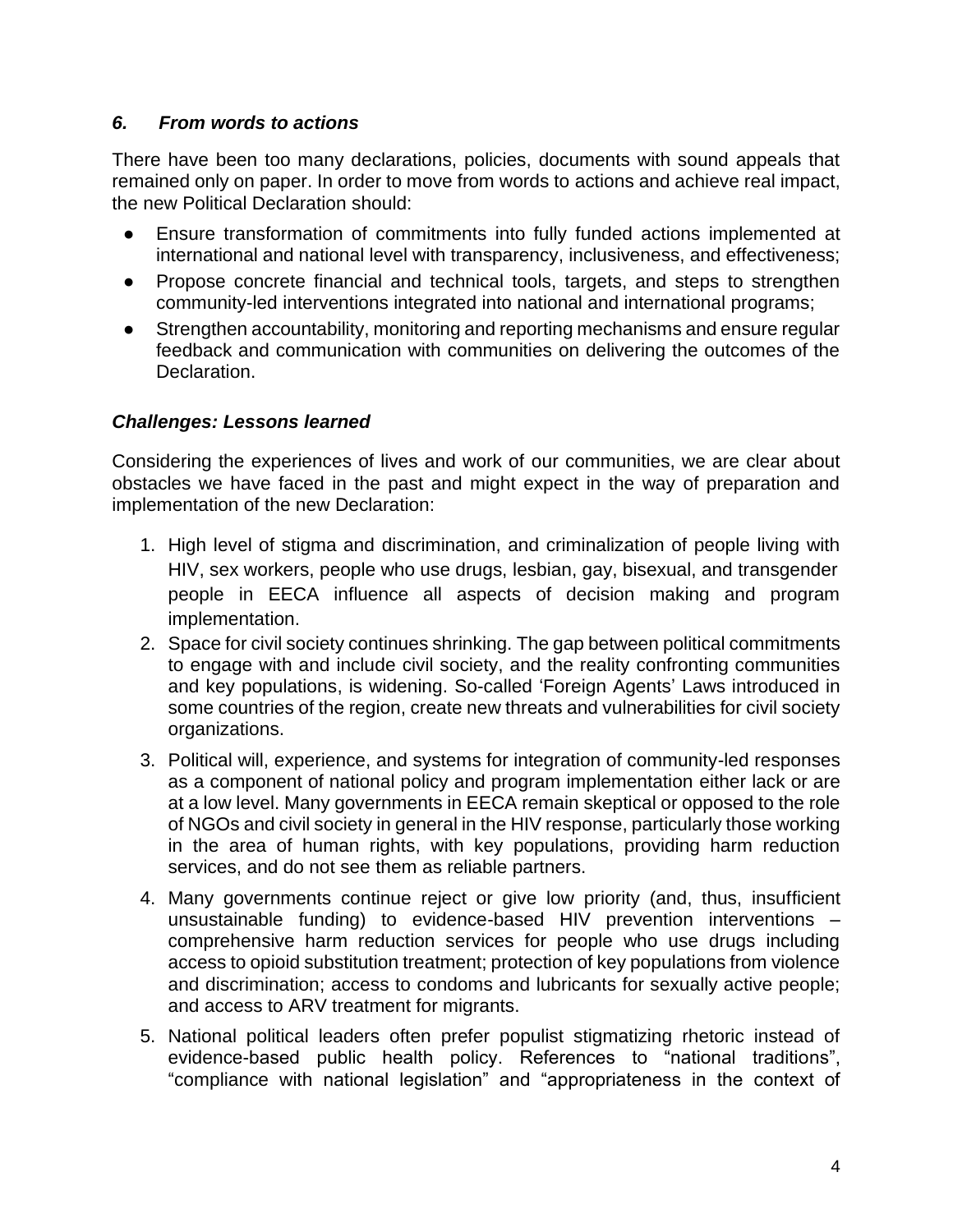## *6. From words to actions*

There have been too many declarations, policies, documents with sound appeals that remained only on paper. In order to move from words to actions and achieve real impact, the new Political Declaration should:

- Ensure transformation of commitments into fully funded actions implemented at international and national level with transparency, inclusiveness, and effectiveness;
- Propose concrete financial and technical tools, targets, and steps to strengthen community-led interventions integrated into national and international programs;
- Strengthen accountability, monitoring and reporting mechanisms and ensure regular feedback and communication with communities on delivering the outcomes of the Declaration.

## *Challenges: Lessons learned*

Considering the experiences of lives and work of our communities, we are clear about obstacles we have faced in the past and might expect in the way of preparation and implementation of the new Declaration:

- 1. High level of stigma and discrimination, and criminalization of people living with HIV, sex workers, people who use drugs, lesbian, gay, bisexual, and transgender people in EECA influence all aspects of decision making and program implementation.
- 2. Space for civil society continues shrinking. The gap between political commitments to engage with and include civil society, and the reality confronting communities and key populations, is widening. So-called 'Foreign Agents' Laws introduced in some countries of the region, create new threats and vulnerabilities for civil society organizations.
- 3. Political will, experience, and systems for integration of community-led responses as a component of national policy and program implementation either lack or are at a low level. Many governments in EECA remain skeptical or opposed to the role of NGOs and civil society in general in the HIV response, particularly those working in the area of human rights, with key populations, providing harm reduction services, and do not see them as reliable partners.
- 4. Many governments continue reject or give low priority (and, thus, insufficient unsustainable funding) to evidence-based HIV prevention interventions – comprehensive harm reduction services for people who use drugs including access to opioid substitution treatment; protection of key populations from violence and discrimination; access to condoms and lubricants for sexually active people; and access to ARV treatment for migrants.
- 5. National political leaders often prefer populist stigmatizing rhetoric instead of evidence-based public health policy. References to "national traditions", "compliance with national legislation" and "appropriateness in the context of